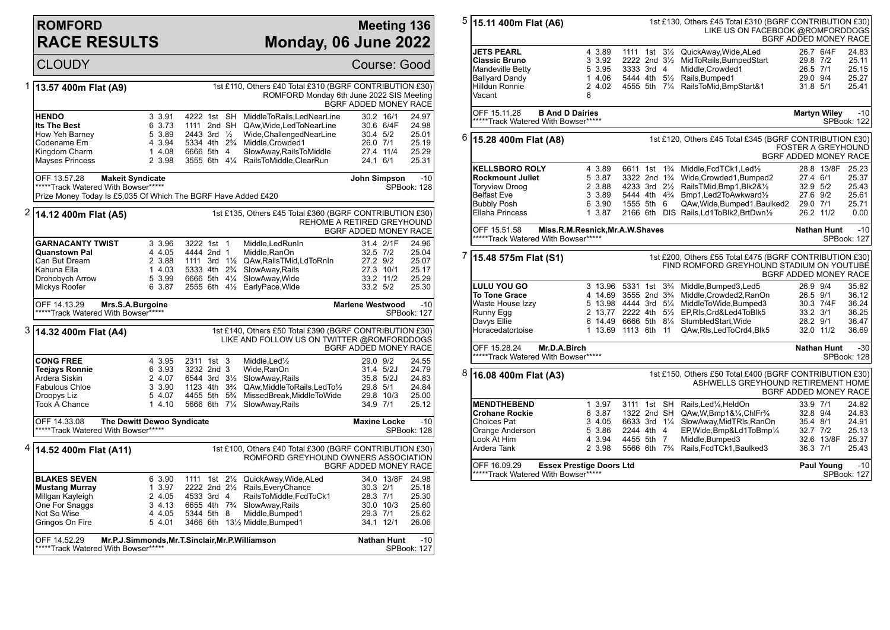## **ROMFORD RACE RESULTS**

## **Meeting 136 Monday, 06 June 2022**

CLOUDY Course: Good 1 **13.57 400m Flat (A9)** 1st £110, Others £40 Total £310 (BGRF CONTRIBUTION £30) ROMFORD Monday 6th June 2022 SIS Meeting BGRF ADDED MONEY RACE **HENDO** 3 3.91 4222 1st SH MiddleToRails,LedNearLine 30.2 16/1 24.97<br>**Its The Best** 6 3.73 1111 2nd SH QAw.Wide.LedToNearLine 30.6 6/4F 24.98 **Its The Best** 6 3.73 1111 2nd SH QAw, Wide, LedToNearLine 30.6 6/4F<br>
How Yeh Barney 5 3.89 2443 3rd 1/<sub>2</sub> Wide, Challenged NearLine 30.4 5/2 5 3.89 2443 3rd ½ Wide,ChallengedNearLine 30.4 5/2 25.01 Codename Em 4 3.94 5334 4th 2¾ Middle,Crowded1 26.0 7/1 25.19 Kingdom Charm 1 4.08 6666 5th 4 SlowAway,RailsToMiddle 27.4 11/4 25.29 3555 6th 41/4 RailsToMiddle, ClearRun OFF 13.57.28 **Makeit Syndicate** \*\*\*\*\*Track Watered With Bowser\*\*\*\*\* Prize Money Today Is £5,035 Of Which The BGRF Have Added £420 **John Simpson** -10 SPBook: 128 2 **14.12 400m Flat (A5)** 1st £135, Others £45 Total £360 (BGRF CONTRIBUTION £30) REHOME A RETIRED GREYHOUND BGRF ADDED MONEY RACE **GARNACANTY TWIST** 3 3.96 3222 1st 1 Middle, LedRunIn 31.4 2/1F 24.96<br> **Quanstown Pal** 4 4.05 4444 2nd 1 Middle. RanOn 32.5 7/2 25.04 **Quanstown Pal** 4 4.05 4444 2nd 1 Middle,RanOn 32.5 7/2 25.04 Can But Dream 2 3.88 1111 3rd 1½ QAw,RailsTMid,LdToRnIn 27.2 9/2 25.07 Kahuna Ella 1 4.03 5333 4th 2¾ SlowAway,Rails 27.3 10/1 25.17 Drohobych Arrow 5 3.99 6666 5th 4¼ SlowAway,Wide 33.2 11/2 25.29 2555 6th 41/<sub>2</sub> EarlyPace, Wide 33.2 5/2 25.30 OFF 14.13.29 **Mrs.S.A.Burgoine** \*\*\*\*\*Track Watered With Bowser\*\*\*\*\* **Marlene Westwood** -10 SPBook: 127 3 **14.32 400m Flat (A4)** 1st £140, Others £50 Total £390 (BGRF CONTRIBUTION £30) LIKE AND FOLLOW US ON TWITTER @ROMFORDDOGS BGRF ADDED MONEY RACE **CONG FREE** 4 3.95 2311 1st 3 Middle,Led½ 29.0 9/2 24.55 **Teejays Ronnie** 6 3.93 3232 2nd 3 Wide,RanOn 31.4 5/2J 24.79 Ardera Siskin 2 4.07 6544 3rd 3½ SlowAway,Rails 35.8 5/2J 24.83 Fabulous Chloe 3 3.90 1123 4th 3¾ QAw,MiddleToRails,LedTo½ 29.8 5/1 24.84 Droopys Liz 6 4 5 4.07 4455 5th 5<sup>3</sup>/<sub>4</sub> MissedBreak,MiddleToWide 20.8 100 14.10 5666 6th 7<sup>1</sup>/<sub>4</sub> SlowAwav.Rails Took A Chance 1 4.10 5666 6th 7¼ SlowAway,Rails 34.9 7/1 25.12 OFF 14.33.08 **The Dewitt Dewoo Syndicate** \*\*\*\*\*Track Watered With Bowser\*\*\*\*\* **Maxine Locke** -10 SPBook: 128 4 **14.52 400m Flat (A11)** 1st £100, Others £40 Total £300 (BGRF CONTRIBUTION £30) ROMFORD GREYHOUND OWNERS ASSOCIATION BGRF ADDED MONEY RACE **BLAKES SEVEN** 6 3.90 1111 1st 2<sup>1</sup>/<sub>2</sub> QuickAway,Wide,ALed 34.0 13/8F 24.98<br> **Mustang Murray** 1 3.97 2222 2nd 2<sup>1</sup>/<sub>2</sub> Rails,EveryChance 30.3 2/1 25.18 **Mustang Murray** 1 3.97 2222 2nd 2½ Rails,EveryChance 30.3 2/1 25.18 Millgan Kayleigh 2 4.05 4533 3rd 4 RailsToMiddle,FcdToCk1 28.3 7/1 25.30 One For Snaggs 3 4.13 6655 4th 7<sup>9</sup> SlowAway,Rails 30.0 100 34.13 6655 4th 7<sup>9</sup> SlowAway,Rails 5344 5th 8 Middle,Bumped1 29.3 7/1 25.62 Gringos On Fire 5 4.01 3466 6th 13½ Middle,Bumped1 34.1 12/1 26.06 OFF 14.52.29 **Mr.P.J.Simmonds,Mr.T.Sinclair,Mr.P.Williamson** \*\*\*\*\*Track Watered With Bowser\*\*\*\*\* **Nathan Hunt** -10 SPBook: 127

| 5 | 15.11 400m Flat (A6)                                                                                                | 1st £130, Others £45 Total £310 (BGRF CONTRIBUTION £30)<br>LIKE US ON FACEBOOK @ROMFORDDOGS<br>BGRF ADDED MONEY RACE                 |                                        |                  |                |                                                                                                                        |                      |                    |                      |
|---|---------------------------------------------------------------------------------------------------------------------|--------------------------------------------------------------------------------------------------------------------------------------|----------------------------------------|------------------|----------------|------------------------------------------------------------------------------------------------------------------------|----------------------|--------------------|----------------------|
|   | <b>JETS PEARL</b>                                                                                                   | 4 3.89                                                                                                                               |                                        |                  |                | 1111 1st 31/2 QuickAway, Wide, ALed                                                                                    |                      | 26.7 6/4F          | 24.83                |
|   | <b>Classic Bruno</b>                                                                                                | 3 3.92                                                                                                                               | 2222 2nd 31/2                          |                  |                | MidToRails, BumpedStart                                                                                                | 29.8 7/2             |                    | 25.11                |
|   | <b>Mandeville Betty</b>                                                                                             | 5 3.95                                                                                                                               | 3333 3rd 4                             |                  |                | Middle, Crowded1                                                                                                       | 26.5 7/1             |                    | 25.15                |
|   | <b>Ballyard Dandy</b>                                                                                               | 1 4.06                                                                                                                               | 5444 4th 51/2                          |                  |                | Rails, Bumped1                                                                                                         | 29.0 9/4             |                    | 25.27                |
|   | Hilldun Ronnie                                                                                                      | 2 4.02                                                                                                                               |                                        |                  |                | 4555 5th 71/4 RailsToMid, BmpStart&1                                                                                   | 31.8 5/1             |                    | 25.41                |
|   | Vacant                                                                                                              |                                                                                                                                      |                                        |                  |                |                                                                                                                        |                      |                    |                      |
|   |                                                                                                                     | 6                                                                                                                                    |                                        |                  |                |                                                                                                                        |                      |                    |                      |
|   | OFF 15.11.28<br><b>B And D Dairies</b><br><b>Martyn Wiley</b><br>*****Track Watered With Bowser*****<br>SPBook: 122 |                                                                                                                                      |                                        |                  |                | $-10$                                                                                                                  |                      |                    |                      |
| 6 | 15.28 400m Flat (A8)                                                                                                | 1st £120, Others £45 Total £345 (BGRF CONTRIBUTION £30)<br><b>FOSTER A GREYHOUND</b><br><b>BGRF ADDED MONEY RACE</b>                 |                                        |                  |                |                                                                                                                        |                      |                    |                      |
|   | <b>KELLSBORO ROLY</b>                                                                                               | 4 3.89                                                                                                                               | 6611 1st                               |                  | $1\frac{3}{4}$ | Middle, FcdTCk1, Led1/2                                                                                                |                      | 28.8 13/8F         | 25.23                |
|   | Rockmount Juliet                                                                                                    | 5 3.87                                                                                                                               | 3322 2nd 1 <sup>3</sup> / <sub>4</sub> |                  |                | Wide, Crowded 1, Bumped 2                                                                                              | 27.4 6/1             |                    | 25.37                |
|   | <b>Torvview Droog</b>                                                                                               | 2 3.88                                                                                                                               | 4233 3rd 21/ <sub>2</sub>              |                  |                | RailsTMid,Bmp1,Blk2&1/2                                                                                                | $32.9$ $5/2$         |                    | 25.43                |
|   | <b>Belfast Eve</b>                                                                                                  | 3 3.89                                                                                                                               | 5444 4th 4 <sup>3</sup> / <sub>4</sub> |                  |                | Bmp1, Led 2To Awkward 1/2                                                                                              | 27.6 9/2             |                    | 25.61                |
|   | <b>Bubbly Posh</b>                                                                                                  | 6 3.90                                                                                                                               | 1555 5th 6                             |                  |                | QAw, Wide, Bumped 1, Baulked 2                                                                                         | 29.0 7/1             |                    | 25.71                |
|   | <b>Ellaha Princess</b>                                                                                              | 1 3.87                                                                                                                               |                                        |                  |                | 2166 6th DIS Rails, Ld1ToBlk2, BrtDwn1/2                                                                               |                      | 26.2 11/2          | 0.00                 |
|   |                                                                                                                     |                                                                                                                                      |                                        |                  |                |                                                                                                                        |                      |                    |                      |
|   | OFF 15.51.58<br>Miss.R.M.Resnick, Mr.A.W.Shaves<br><b>Nathan Hunt</b><br>*****Track Watered With Bowser*****        |                                                                                                                                      |                                        |                  |                |                                                                                                                        | $-10$<br>SPBook: 127 |                    |                      |
| 7 | 15.48 575m Flat (S1)                                                                                                | 1st £200, Others £55 Total £475 (BGRF CONTRIBUTION £30)<br>FIND ROMFORD GREYHOUND STADIUM ON YOUTUBE<br><b>BGRF ADDED MONEY RACE</b> |                                        |                  |                |                                                                                                                        |                      |                    |                      |
|   |                                                                                                                     |                                                                                                                                      |                                        | 3 13.96 5331 1st | $3\frac{3}{4}$ |                                                                                                                        |                      |                    |                      |
|   | <b>LULU YOU GO</b>                                                                                                  |                                                                                                                                      |                                        |                  |                | Middle, Bumped3, Led5                                                                                                  | 26.9 9/4             |                    | 35.82                |
|   | <b>To Tone Grace</b>                                                                                                | 4 14.69 3555 2nd 3 <sup>3</sup> / <sub>4</sub>                                                                                       |                                        |                  |                | Middle, Crowded2, RanOn                                                                                                | 26.5 9/1             |                    | 36.12                |
|   | Waste House Izzy                                                                                                    | 5 13.98 4444 3rd 51/4                                                                                                                |                                        |                  |                | MiddleToWide,Bumped3                                                                                                   |                      | 30.3 7/4F          | 36.24                |
|   | Runny Egg                                                                                                           |                                                                                                                                      |                                        |                  |                | 2 13.77 2222 4th 51/2 EP.RIs.Crd&Led4ToBlk5                                                                            | 33.2 3/1             |                    | 36.25                |
|   | Davys Ellie                                                                                                         | 6 14.49 6666 5th 81/4                                                                                                                |                                        |                  |                | StumbledStart. Wide                                                                                                    | 28.2 9/1             |                    | 36.47                |
|   | Horacedatortoise                                                                                                    | 1 13.69                                                                                                                              | 1113 6th 11                            |                  |                |                                                                                                                        |                      | 32.0 11/2          | 36.69                |
|   |                                                                                                                     |                                                                                                                                      |                                        |                  |                | QAw, RIs, Led To Crd4, BIk5                                                                                            |                      |                    |                      |
|   | OFF 15.28.24<br>Mr.D.A.Birch<br>*****Track Watered With Bowser*****                                                 |                                                                                                                                      |                                        |                  |                |                                                                                                                        |                      | <b>Nathan Hunt</b> | $-30$<br>SPBook: 128 |
|   | 16.08 400m Flat (A3)                                                                                                |                                                                                                                                      |                                        |                  |                | 1st £150, Others £50 Total £400 (BGRF CONTRIBUTION £30)<br>ASHWELLS GREYHOUND RETIREMENT HOME<br>BGRF ADDED MONEY RACE |                      |                    |                      |
| 8 | <b>MENDTHEBEND</b>                                                                                                  | 1 3.97                                                                                                                               | 3111 1st SH                            |                  |                | Rails.Led¼.HeldOn                                                                                                      | 33.9 7/1             |                    | 24.82                |
|   | <b>Crohane Rockie</b>                                                                                               | 6 3.87                                                                                                                               | 1322 2nd SH                            |                  |                |                                                                                                                        |                      |                    | 24.83                |
|   | Choices Pat                                                                                                         | 3 4.05                                                                                                                               | 6633 3rd 11/4                          |                  |                | QAw, W, Bmp1& 1/4, ChlFr <sup>3</sup> /4                                                                               | 32.8 9/4<br>35.4 8/1 |                    | 24.91                |
|   |                                                                                                                     |                                                                                                                                      |                                        |                  |                | SlowAway, MidTRIs, RanOn                                                                                               |                      |                    |                      |
|   | Orange Anderson                                                                                                     | 5 3.86                                                                                                                               | 2244 4th 4                             |                  |                | EP, Wide, Bmp&Ld1To Bmp1/4                                                                                             | 32.7 7/2             |                    | 25.13                |
|   | Look At Him                                                                                                         | 4 3.94                                                                                                                               | 4455 5th 7                             |                  |                | Middle, Bumped3                                                                                                        |                      | 32.6 13/8F         | 25.37                |
|   | Ardera Tank                                                                                                         | 2 3.98                                                                                                                               |                                        |                  |                | 5566 6th 7 <sup>3</sup> / <sub>4</sub> Rails, FcdTCk1, Baulked3                                                        | 36.3 7/1             |                    | 25.43                |